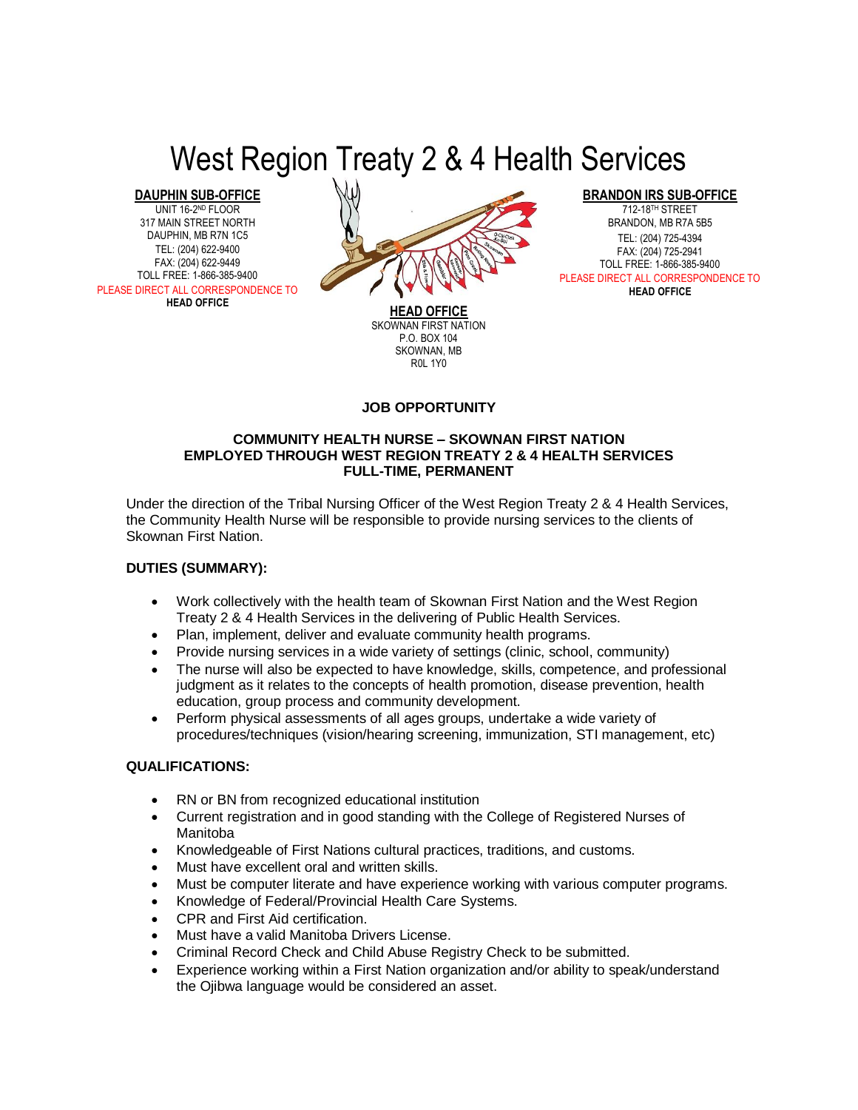# West Region Treaty 2 & 4 Health Services

**DAUPHIN SUB-OFFICE**

UNIT 16-2ND FLOOR 317 MAIN STREET NORTH DAUPHIN, MB R7N 1C5 TEL: (204) 622-9400 FAX: (204) 622-9449 TOLL FREE: 1-866-385-9400 PLEASE DIRECT ALL CORRESPONDENCE TO **HEAD OFFICE**



**HEAD OFFICE** SKOWNAN FIRST NATION P.O. BOX 104 SKOWNAN, MB R0L 1Y0

**BRANDON IRS SUB-OFFICE**

712-18TH STREET BRANDON, MB R7A 5B5 TEL: (204) 725-4394 FAX: (204) 725-2941 TOLL FREE: 1-866-385-9400 PLEASE DIRECT ALL CORRESPONDENCE TO **HEAD OFFICE**

# **JOB OPPORTUNITY**

#### **COMMUNITY HEALTH NURSE – SKOWNAN FIRST NATION EMPLOYED THROUGH WEST REGION TREATY 2 & 4 HEALTH SERVICES FULL-TIME, PERMANENT**

Under the direction of the Tribal Nursing Officer of the West Region Treaty 2 & 4 Health Services, the Community Health Nurse will be responsible to provide nursing services to the clients of Skownan First Nation.

# **DUTIES (SUMMARY):**

- Work collectively with the health team of Skownan First Nation and the West Region Treaty 2 & 4 Health Services in the delivering of Public Health Services.
- Plan, implement, deliver and evaluate community health programs.
- Provide nursing services in a wide variety of settings (clinic, school, community)
- The nurse will also be expected to have knowledge, skills, competence, and professional judgment as it relates to the concepts of health promotion, disease prevention, health education, group process and community development.
- Perform physical assessments of all ages groups, undertake a wide variety of procedures/techniques (vision/hearing screening, immunization, STI management, etc)

# **QUALIFICATIONS:**

- RN or BN from recognized educational institution
- Current registration and in good standing with the College of Registered Nurses of Manitoba
- Knowledgeable of First Nations cultural practices, traditions, and customs.
- Must have excellent oral and written skills.
- Must be computer literate and have experience working with various computer programs.
- Knowledge of Federal/Provincial Health Care Systems.
- CPR and First Aid certification.
- Must have a valid Manitoba Drivers License.
- Criminal Record Check and Child Abuse Registry Check to be submitted.
- Experience working within a First Nation organization and/or ability to speak/understand the Ojibwa language would be considered an asset.